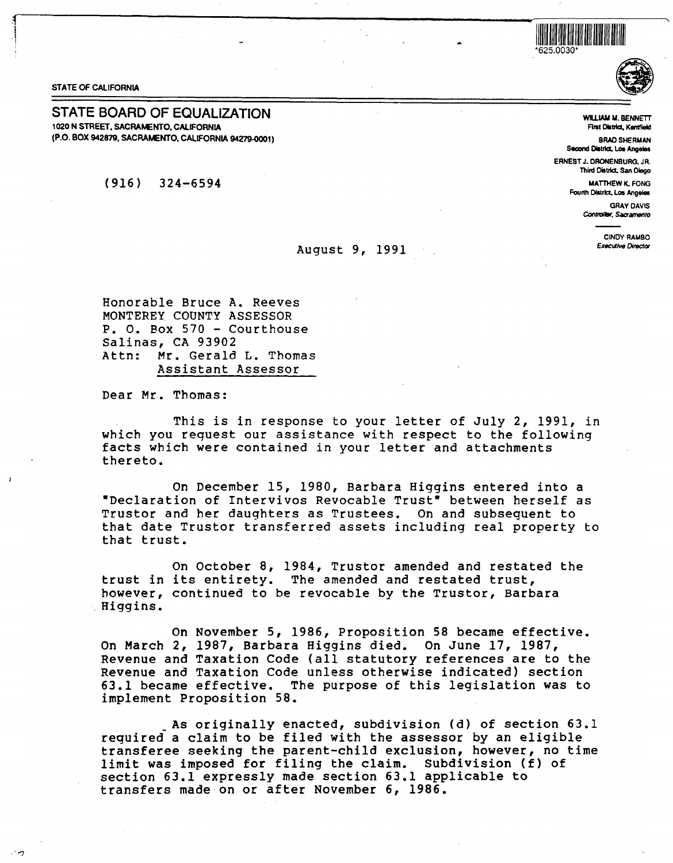



STATE OF CALIFORNIA

:1

 $\cdot$ -7

STATE OF CALIFORNIA<br>
STATE BOARD OF EQUALIZATION 1020 N STREET, SACRAMENTO, CALIFORNIA (P.O. BOX 942879, SACRAMENTO, CALIFORNIA 94279-0001)

( 916) 324-6594

WUIAM **M.** BENNETT First District, Kantfield

BRAD SHERMAN **Second Oislllcl. Los Angeles**  ERNEST J. DRONENBURG. JR. Third District, San Diego

> MATTHEW K. FONG FOlinh **Oislrlcl. Los Angeles**

> > GRAY DAVIS Controller, Sacramento

> > > CINDY RAMBO **Executive Director**

Honorable Bruce A. Reeves **MONTEREY COUNTY ASSESSOR**  P. o. Box 570 - Courthouse Salinas, CA 93902 Attn: Mr. Gerald L. Thomas Assistant Assessor

Dear Mr. Thomas:

This is in response to your letter of July 2, 1991, in which you request our assistance with respect to the following facts which **were** contained in your letter and attachments thereto.

August 9, 1991

On December 15, 1980, Barbara Higgins entered into a •Declaration of Intervivos Revocable Trust• between herself as Trustor and her daughters as Trustees. On and subsequent to that date Truster transferred assets including real property to that trust.

On October 8, 1984, Trustor amended and restated the trust in its entirety. The amended and restated trust, however, continued to be revocable by the Trustor, Barbara .<br>Higgins.

On November 5, 1986, Proposition 58 became effective. On March 2, 1987, Barbara Higgins died. On June 17, 1987, Revenue and Taxation Code (all statutory references are to the Revenue and Taxation Code unless otherwise indicated) section 63.1 became effective. The purpose of this legislation was to implement Proposition 58.

As originally enacted, subdivision (d) of section 63.1 required a claim to be filed with the assessor by an eligible transferee seeking the parent-child exclusion, however, no time limit was imposed for filing the claim. Subdivision (f) of section 63.1 expressly made section 63.1 applicable to transfers made on or after November 6, 1986 •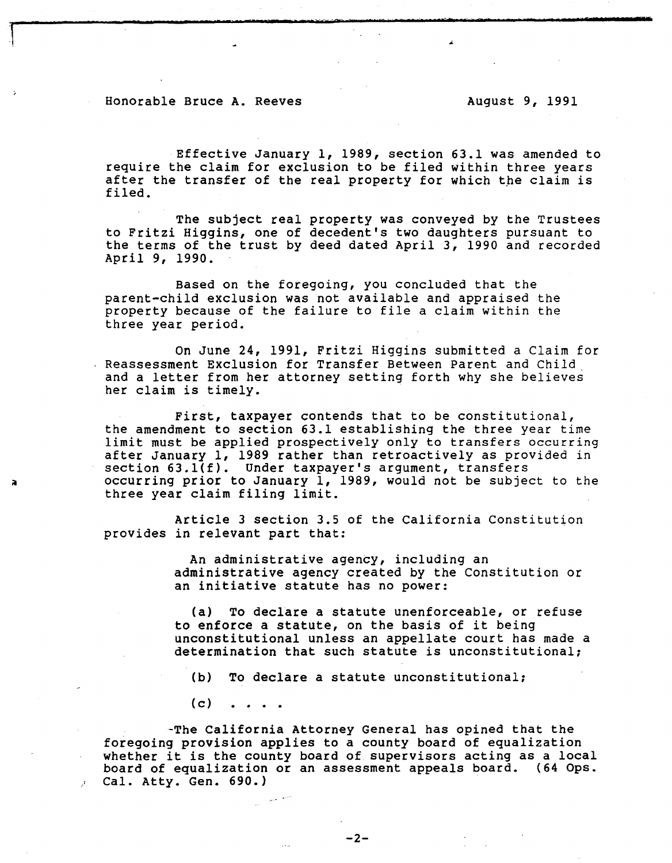Effective January 1, 1989, section 63.1 was amended to require the claim for exclusion to be filed within three years after the transfer of the real property for which the claim is filed.

The subject real property was conveyed by the Trustees to Fritzi Higgins, one of decedent's two daughters pursuant to the terms of the trust by deed dated April 3, 1990 and recorded April 9, 1990.

Based on the foregoing, you concluded that the parent-child exclusion was not available and appraised the property because of the failure to file a claim within the three year period.

On June 24, 1991, Fritzi Higgins submitted a Claim for Reassessment Exclusion for Transfer Between Parent and Child and a letter from her attorney setting forth why she believes her claim is timely.

First, taxpayer contends that to be constitutional, the amendment to section 63.1 establishing the three year time limit must be applied prospectively only to transfers occurring after January 1, 1989 rather than retroactively as provided in section 63.1(f). Under taxpayer's argument, transfers occurring prior to January 1, 1989, would not be subject to the three year claim filing limit.

Article 3 section 3.5 of the California Constitution provides in relevant part that:

> An administrative agency, including an administrative agency created by the Constitution or an initiative statute has no power:

(a) To declare a statute unenforceable, or refuse to enforce a statute, on the basis of it being unconstitutional unless an appellate court has made a determination that such statute is unconstitutional;

(b) To declare a statute unconstitutional;

 $(c)$ 

-The California Attorney General has opined that the foregoing provision applies to a county board of equalization whether it is the county board of supervisors acting as a local<br>board of equalization or an assessment appeals board. (64 Ops. board of equalization or an assessment appeals board. Cal. Atty. Gen. 690.)

 $-2-$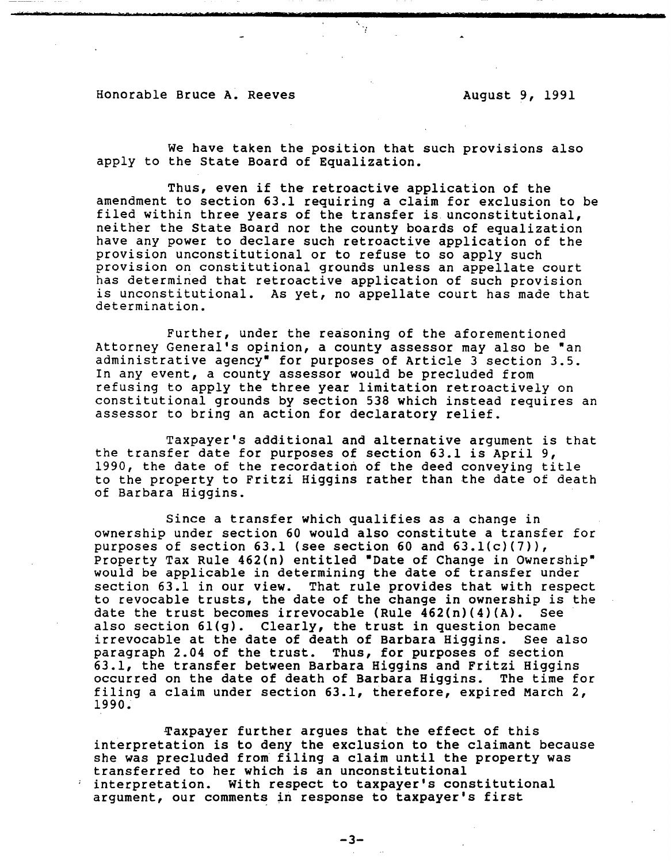We have taken the position that such provisions also apply to the State Board of Equalization.

 $\gamma$ 

Thus, even if the retroactive application of the amendment to section 63.1 requiring a claim for exclusion to be filed within three years of the transfer is unconstitutional, neither the State Board nor the county boards of equalization have any power to declare such retroactive application of the provision unconstitutional or to refuse to so apply such provision on constitutional grounds unless an appellate court has determined that retroactive application of such provision is unconstitutional. As yet, no appellate court has made that determination.

Further, under the reasoning of the aforementioned Attorney General's opinion, a county assessor may also be "an administrative agency• for purposes of Article 3 section 3.5. In any event, a county assessor would be precluded from refusing to apply the three year limitation retroactively on constitutional grounds by section 538 which instead requires an assessor to bring an action for declaratory relief.

Taxpayer's additional and alternative argument is that the transfer date for purposes of section 63.1 is April 9, 1990, the date of the recordation of the deed conveying title to the property to Fritzi Higgins rather than the date of death of Barbara Higgins.

Since a transfer which qualifies as a change in ownership under section 60 would also constitute a transfer for purposes of section  $63.1$  (see section  $60$  and  $63.1(c)(7)$ ), Property Tax Rule 462(n) entitled "Date of Change in Ownership" would be applicable in determining the date of transfer under section 63.1 in our view. That rule provides that with respect to revocable trusts, the date of the change in ownership is the date the trust becomes irrevocable (Rule  $462(n)(4)(A)$ . See date the trust becomes irrevocable (Rule  $462(n)(4)(A)$ . also section 61(g). Clearly, the trust in question became<br>irrevocable at the date of death of Barbara Higgins. See also irrevocable at the date of death of Barbara Higgins. paragraph 2.04 of the trust. Thus, for purposes of section 63.1, the transfer between Barbara Higgins and Fritzi Higgins occurred on the date of death of Barbara Higgins. The time for filing a claim under section 63.1, therefore, expired March 2, 1990~

Taxpayer further argues that the effect of this interpretation is to deny the exclusion to the claimant because she was precluded from filing a claim until the property was transferred to her which is an unconstitutional interpretation. With respect to taxpayer's constitutional argument, our comments in response to taxpayer's first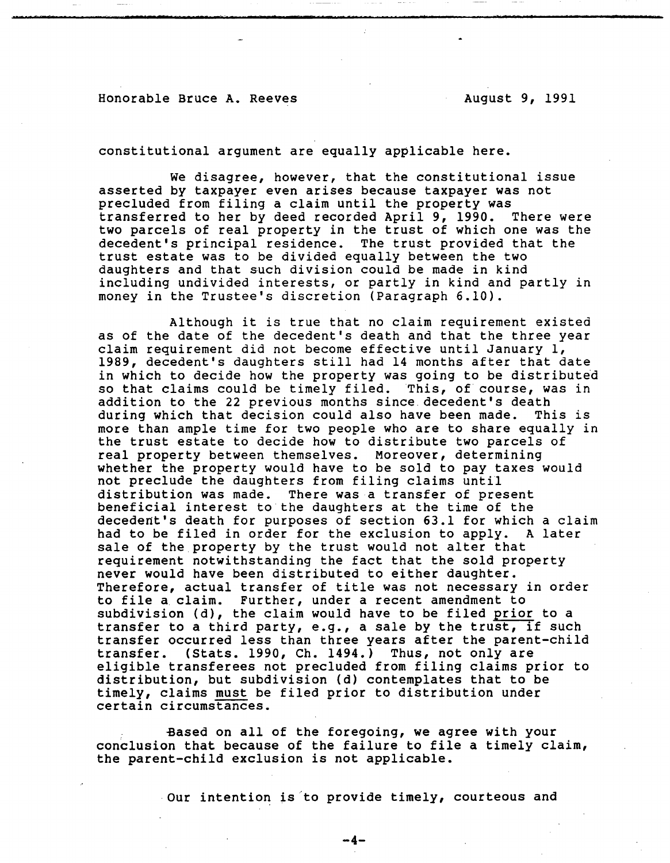constitutional argument are equally applicable here.

we disagree, however, that the constitutional issue asserted by taxpayer even arises because taxpayer was not precluded from filing a claim until the property was transferred to her by deed recorded April 9, 1990. two parcels of real property in the trust of which one was the decedent's principal residence. The trust provided that the trust estate was to be divided equally between the two daughters and that such division could be made in kind including undivided interests, or partly in kind and partly in money in the Trustee's discretion (Paragraph 6.10).

Although it is true that no claim requirement existed as of the date of the decedent's death and that the three year claim requirement did not become effective until January 1, 1989, decedent's daughters still had 14 months after that date in which to decide how the property was going to be distributed so that claims could be timely filed. This, of course, was in addition to the 22 previous months since decedent's death<br>during which that decision could also have been made. This is during which that decision could also have been made. more than ample time for two people who are to share equally in the trust estate to decide how to distribute two parcels of real property between themselves. Moreover, determining whether the property would have to be sold to pay taxes would not preclude the daughters from filing claims until distribution was made. There was a transfer of present beneficial interest to the daughters at the time of the decedent's death for purposes of section 63.1 for which a claim had to be filed in order for the exclusion to apply. A later sale of the property by the trust would not alter that requirement notwithstanding the fact that the sold property never would have been distributed to either daughter. Therefore, actual transfer of title was not necessary in order to file a claim. Further, under a recent amendment to subdivision (d), the claim would have to be filed prior to a transfer to a third party, e.g., a sale by the trust, if such transfer occurred less than three years after the parent-child<br>transfer. (Stats. 1990, Ch. 1494.) Thus, not only are (Stats. 1990, Ch. 1494.) Thus, not only are eligible transferees not precluded from filing claims prior to distribution, but subdivision (d) contemplates that to be timely, claims must be filed prior to distribution under certain circumstances.

Based on all of the foregoing, we agree with your conclusion that because of the failure to file a timely claim, the parent-child exclusion is not applicable.

Our intention is'to provide timely, courteous and